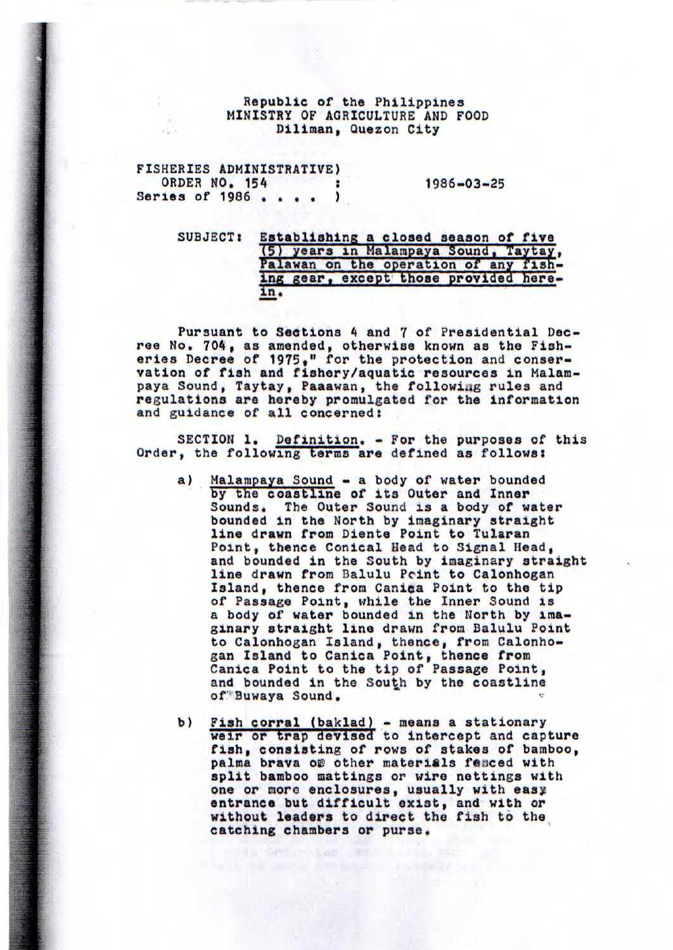## Republic of the Philippines MINISTRY OF AGRICULTURE AND FOOD Diliman, Quezon City

| FISHERIES ADMINISTRATIVE) |                  |
|---------------------------|------------------|
| ORDER NO. 154             | $1986 - 03 - 25$ |
| Series of $1986$ .        |                  |

SUBJECT: Establishing a closed season of five (5) years in Malampaya Sound, Taytay, Palawan on the operation of any fishing gear, except those provided here**in.** 

Pursuant to Sections 4 and *7* of Presidential Decree No. 704, as amended, otherwise known as the Fisheries Decree of 1975," for the protection and conservation of fish and fishery/aquatic resources in Malampaya Sound, Taytay, Paaawan, the following rules and regulations are hereby promulgated for the information and guidance of all concerned:

SECTION 1. Definition. - For the purposes of this Order, the following terms are defined as follows:

- a) Malampaya Sound a body of water bounded by the coastline of its Outer and *Inner*  Sounds. The Outer Sound is a body of water bounded in the North by imaginary straight line drawn from Diente Point to Tularan Point, thence Conical Head to Signal Head, and bounded in the South by imaginary straight line drawn from Balulu Pcint to Calonhogan Island, thence from Canica Point to the tip of Passage Point, while the Inner Sound is a body of water bounded in the North by imaginary straight line drawn from Balulu Point to Calonhogan Island, thence, from Calonhogan Island to Canica Point, thence from Canica Point to the tip of Passage Point, and bounded in the South by the coastline of Buwaya Sound,
- b) Fish corral (baklad) means a stationary weir or trap devised to intercept and capture fish, consisting of rows of stakes of bamboo, palma brava of other materials feaced with split bamboo mattings or wire nettings with one or more enclosures, usually with easy entrance but difficult exist, and with or without leaders to direct the fish to the catching chambers or purse.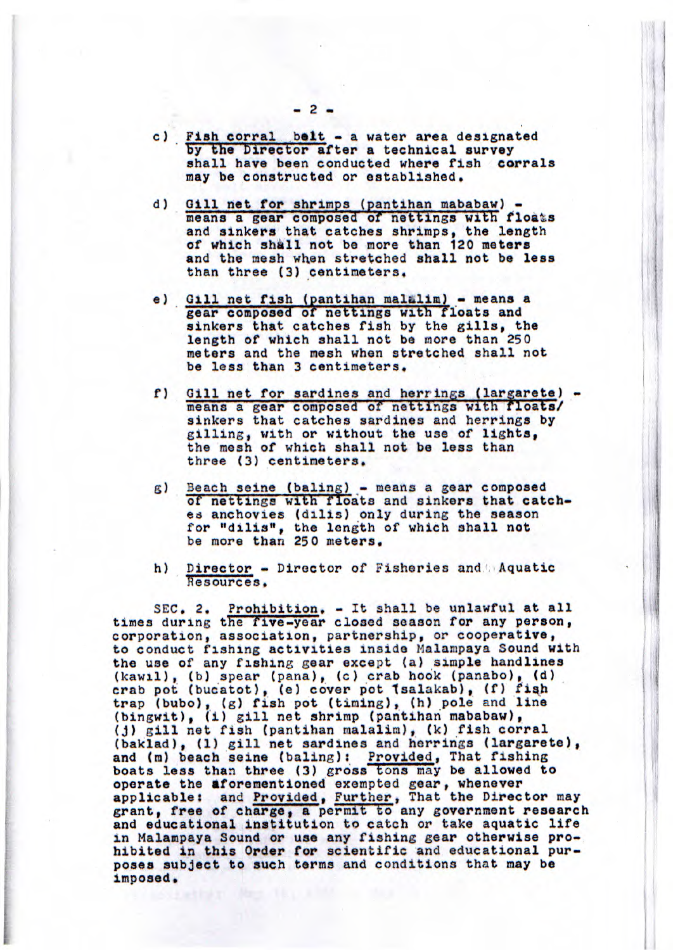- c) Fish corral belt a water area designated by the Director after a technical survey shall have been conducted where fish corrals may be constructed or established.
- d) Gill net for shrimps (pantihan mababaw) means a gear composed of nettings with floats and sinkers that catches shrimps, the length of which shall not be more than 120 meters and the mesh when stretched shall not be **less**  than three (3) centimeters.
- e) Gill net fish (pantihan malalim) means a gear composed *of nettings* with floats and sinkers that catches fish by the gills, the length of which shall not be more than 250 meters and the mesh when stretched shall not be less than 3 centimeters,
- f) Gill net for sardines and herrings (largarete) means a gear composed of nettings with floats/ sinkers that catches sardines and herrings by gilling, with or without the use of lights, the mesh of which shall not be less than three (3) centimeters.
- g) Beach seine (baling) means a gear composed of nettings with floats and sinkers that catches anchovies (dilis) only during the season for "dilis", the length of which shall not be more than 250 meters.
- h) Director Director of Fisheries *and.* Aquatic Resources.

SEC. 2. Prohibition. - It shall be unlawful at all times during the five-year closed season for any person, corporation, association, partnership, or cooperative, to conduct fishing activities inside Nalampaya Sound with the use of any fishing gear except (a) simple handlines (kawil), (b) spear (pana), (c) crab hook (panabo), (d)<br>crab pot (bucatot), (e) cover pot (salakab), (f) fiah trap (bubo), (g) fish pot (timing), (h) pole and line (hingwit), (i) gill net shrimp (pantihan mababaw), (j) gill net fish (pantihan malalim), (k) fish corral (bakiad), (1) gill net sardines and herrings (largarete), and (m) beach seine (baling): Provided, That fishing boats less than three (3) gross tons may be allowed to operate the aforementioned exempted gear, whenever applicable: and Provided, Further, That the Director may grant, free of charge, a permit to any government research and educational institution to catch or take aquatic life in Malampaya Sound or use any fishing gear otherwise prohibited in this Order for scientific and educational purposes subject to such terms and conditions that may be imposed.